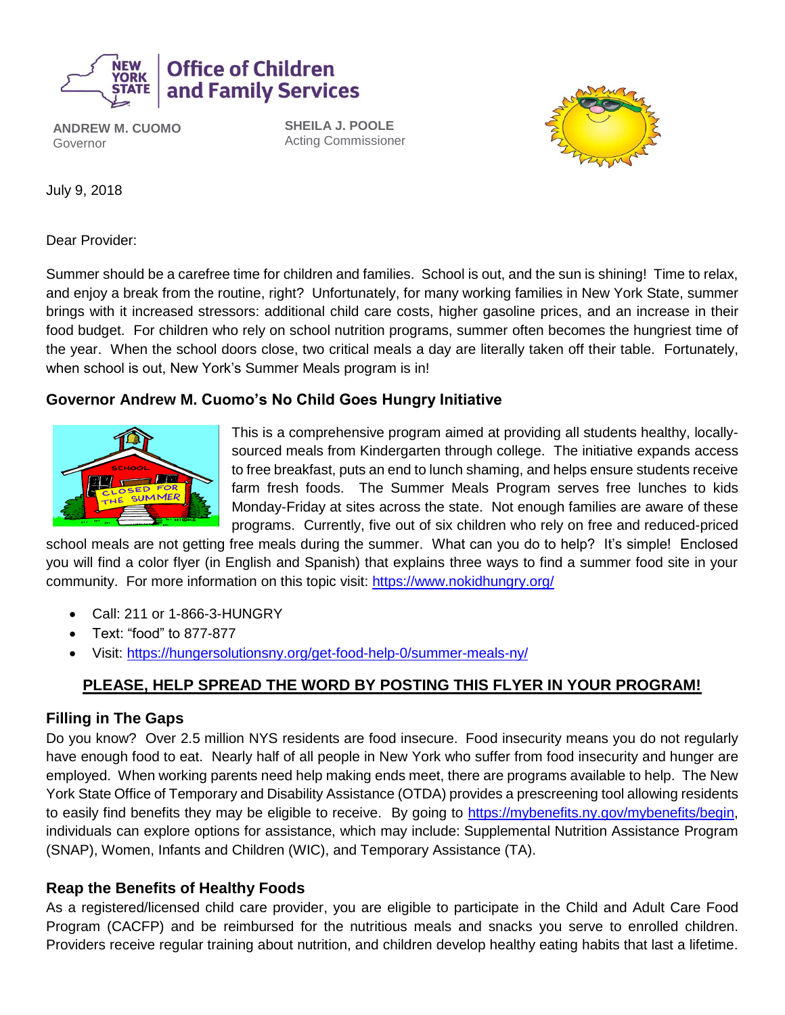

**ANDREW M. CUOMO** Governor

**SHEILA J. POOLE** Acting Commissioner



July 9, 2018

Dear Provider:

Summer should be a carefree time for children and families. School is out, and the sun is shining! Time to relax, and enjoy a break from the routine, right? Unfortunately, for many working families in New York State, summer brings with it increased stressors: additional child care costs, higher gasoline prices, and an increase in their food budget. For children who rely on school nutrition programs, summer often becomes the hungriest time of the year. When the school doors close, two critical meals a day are literally taken off their table. Fortunately, when school is out, New York's Summer Meals program is in!

### **Governor Andrew M. Cuomo's No Child Goes Hungry Initiative**



This is a comprehensive program aimed at providing all students healthy, locallysourced meals from Kindergarten through college. The initiative expands access to free breakfast, puts an end to lunch shaming, and helps ensure students receive farm fresh foods. The Summer Meals Program serves free lunches to kids Monday-Friday at sites across the state. Not enough families are aware of these programs. Currently, five out of six children who rely on free and reduced-priced

school meals are not getting free meals during the summer. What can you do to help? It's simple! Enclosed you will find a color flyer (in English and Spanish) that explains three ways to find a summer food site in your community. For more information on this topic visit: <https://www.nokidhungry.org/>

- Call: 211 or 1-866-3-HUNGRY
- Text: "food" to 877-877
- Visit:<https://hungersolutionsny.org/get-food-help-0/summer-meals-ny/>

## **PLEASE, HELP SPREAD THE WORD BY POSTING THIS FLYER IN YOUR PROGRAM!**

#### **Filling in The Gaps**

Do you know? Over 2.5 million NYS residents are food insecure. Food insecurity means you do not regularly have enough food to eat. Nearly half of all people in New York who suffer from food insecurity and hunger are employed. When working parents need help making ends meet, there are programs available to help. The New York State Office of Temporary and Disability Assistance (OTDA) provides a prescreening tool allowing residents to easily find benefits they may be eligible to receive. By going to [https://mybenefits.ny.gov/mybenefits/begin,](https://mybenefits.ny.gov/mybenefits/begin) individuals can explore options for assistance, which may include: Supplemental Nutrition Assistance Program (SNAP), Women, Infants and Children (WIC), and Temporary Assistance (TA).

### **Reap the Benefits of Healthy Foods**

As a registered/licensed child care provider, you are eligible to participate in the Child and Adult Care Food Program (CACFP) and be reimbursed for the nutritious meals and snacks you serve to enrolled children. Providers receive regular training about nutrition, and children develop healthy eating habits that last a lifetime.